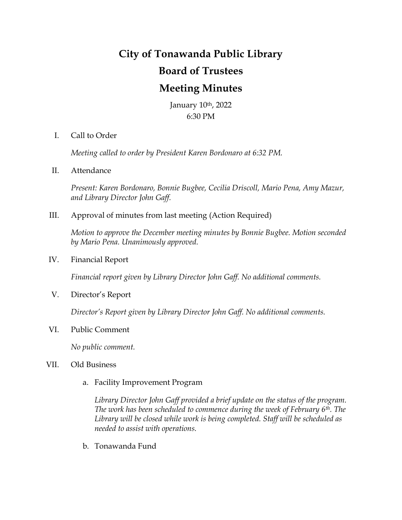## **City of Tonawanda Public Library Board of Trustees Meeting Minutes**

January 10th, 2022 6:30 PM

I. Call to Order

*Meeting called to order by President Karen Bordonaro at 6:32 PM.*

II. Attendance

*Present: Karen Bordonaro, Bonnie Bugbee, Cecilia Driscoll, Mario Pena, Amy Mazur, and Library Director John Gaff.*

III. Approval of minutes from last meeting (Action Required)

*Motion to approve the December meeting minutes by Bonnie Bugbee. Motion seconded by Mario Pena. Unanimously approved.*

IV. Financial Report

*Financial report given by Library Director John Gaff. No additional comments.*

V. Director's Report

*Director's Report given by Library Director John Gaff. No additional comments.*

VI. Public Comment

*No public comment.*

## VII. Old Business

a. Facility Improvement Program

*Library Director John Gaff provided a brief update on the status of the program. The work has been scheduled to commence during the week of February 6th. The Library will be closed while work is being completed. Staff will be scheduled as needed to assist with operations.*

b. Tonawanda Fund